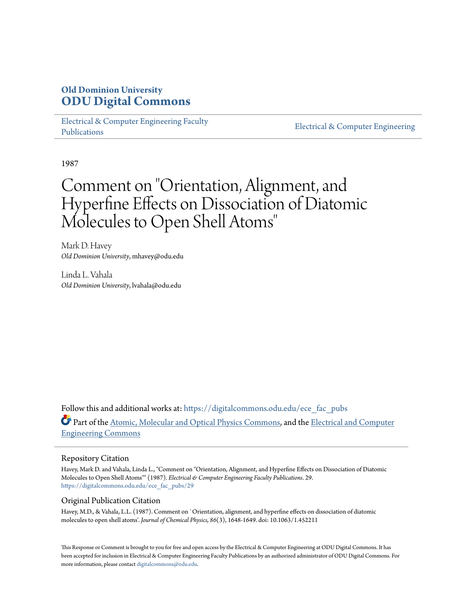## **Old Dominion University [ODU Digital Commons](https://digitalcommons.odu.edu?utm_source=digitalcommons.odu.edu%2Fece_fac_pubs%2F29&utm_medium=PDF&utm_campaign=PDFCoverPages)**

[Electrical & Computer Engineering Faculty](https://digitalcommons.odu.edu/ece_fac_pubs?utm_source=digitalcommons.odu.edu%2Fece_fac_pubs%2F29&utm_medium=PDF&utm_campaign=PDFCoverPages) [Publications](https://digitalcommons.odu.edu/ece_fac_pubs?utm_source=digitalcommons.odu.edu%2Fece_fac_pubs%2F29&utm_medium=PDF&utm_campaign=PDFCoverPages)

[Electrical & Computer Engineering](https://digitalcommons.odu.edu/ece?utm_source=digitalcommons.odu.edu%2Fece_fac_pubs%2F29&utm_medium=PDF&utm_campaign=PDFCoverPages)

1987

# Comment on "Orientation, Alignment, and Hyperfine Effects on Dissociation of Diatomic Molecules to Open Shell Atoms "

Mark D. Havey *Old Dominion University*, mhavey@odu.edu

Linda L. Vahala *Old Dominion University*, lvahala@odu.edu

Follow this and additional works at: [https://digitalcommons.odu.edu/ece\\_fac\\_pubs](https://digitalcommons.odu.edu/ece_fac_pubs?utm_source=digitalcommons.odu.edu%2Fece_fac_pubs%2F29&utm_medium=PDF&utm_campaign=PDFCoverPages) Part of the [Atomic, Molecular and Optical Physics Commons,](http://network.bepress.com/hgg/discipline/195?utm_source=digitalcommons.odu.edu%2Fece_fac_pubs%2F29&utm_medium=PDF&utm_campaign=PDFCoverPages) and the [Electrical and Computer](http://network.bepress.com/hgg/discipline/266?utm_source=digitalcommons.odu.edu%2Fece_fac_pubs%2F29&utm_medium=PDF&utm_campaign=PDFCoverPages) [Engineering Commons](http://network.bepress.com/hgg/discipline/266?utm_source=digitalcommons.odu.edu%2Fece_fac_pubs%2F29&utm_medium=PDF&utm_campaign=PDFCoverPages)

### Repository Citation

Havey, Mark D. and Vahala, Linda L., "Comment on "Orientation, Alignment, and Hyperfine Effects on Dissociation of Diatomic Molecules to Open Shell Atoms"" (1987). *Electrical & Computer Engineering Faculty Publications*. 29. [https://digitalcommons.odu.edu/ece\\_fac\\_pubs/29](https://digitalcommons.odu.edu/ece_fac_pubs/29?utm_source=digitalcommons.odu.edu%2Fece_fac_pubs%2F29&utm_medium=PDF&utm_campaign=PDFCoverPages)

### Original Publication Citation

Havey, M.D., & Vahala, L.L. (1987). Comment on `Orientation, alignment, and hyperfine effects on dissociation of diatomic molecules to open shell atoms'. *Journal of Chemical Physics, 86*(3), 1648-1649. doi: 10.1063/1.452211

This Response or Comment is brought to you for free and open access by the Electrical & Computer Engineering at ODU Digital Commons. It has been accepted for inclusion in Electrical & Computer Engineering Faculty Publications by an authorized administrator of ODU Digital Commons. For more information, please contact [digitalcommons@odu.edu.](mailto:digitalcommons@odu.edu)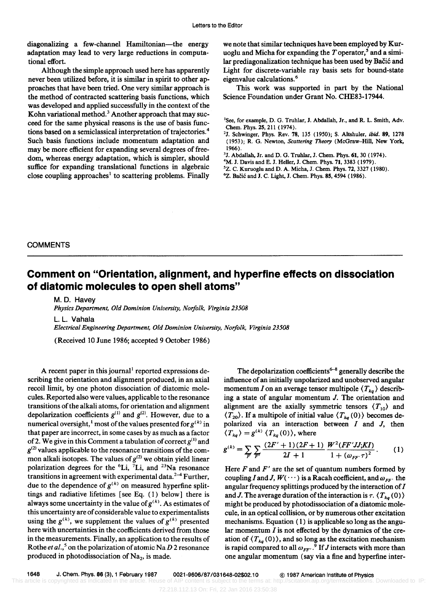diagonalizing a few-channel Hamiltonian-the energy adaptation may lead to very large reductions in computational effort.

Although the simple approach used here has apparently never been utilized before, it is similar in spirit to other approaches that have been tried. One very similar approach is the method of contracted scattering basis functions, which was developed and applied successfully in the context of the Kohn variational method.<sup>3</sup> Another approach that may succeed for the same physical reasons is the use of basis functions based on a semiclassical interpretation of trajectories.<sup>4</sup> Such basis functions include momentum adaptation and may be more efficient for expanding several degrees of freedom, whereas energy adaptation, which is simpler, should suffice for expanding translational functions in algebraic close coupling approaches<sup>1</sup> to scattering problems. Finally

we note that similar techniques have been employed by Kuruoglu and Micha for expanding the T operator,<sup>5</sup> and a similar prediagonalization technique has been used by Bacic and Light for discrete-variable ray basis sets for bound-state eigenvalue calculations.<sup>6</sup>

This work was supported in part by the National Science Foundation under Grant No. CHE83-17944.

- 2J. Schwinger, Phys. Rev. 78, 135 (1950); S. Altshuler, *ibid.* 89, 1278 (1953); R. G. Newton, *Scattering Theory* (McGraw-Hill, New York, 1966).
- 3J. Abdallah, Jr. and D. G. Truhlar, J. Chem. Phys. 61, 30 (1974).
- <sup>4</sup>M. J. Davis and E. J. Heller, J. Chem. Phys. 71, 3383 (1979).
- 5Z. C. Kuruoglu and D. A. Micha, J. Chem. Phys. 72, 3327 (1980).
- <sup>6</sup>Z. Bačić and J. C. Light, J. Chem. Phys. 85, 4594 (1986).

#### **COMMENTS**

## **Comment on "Orientation, alignment, and hyperfine effects on dissociation of diatomic molecules to open shell atoms"**

M. D. Havey *Physics Department, Old Dominion University, Norfolk, Virginia 23508* 

L. L. Vahala *Electrical Engineering Department, Old Dominion University, Norfolk, Virginia 23508* 

(Received 10 June 1986; accepted 9 October 1986)

A recent paper in this journal<sup>1</sup> reported expressions describing the orientation and alignment produced, in an axial recoil limit, by one photon dissociation of diatomic molecules. Reported also were values, applicable to the resonance transitions of the alkali atoms, for orientation and alignment depolarization coefficients  $g^{(1)}$  and  $g^{(2)}$ . However, due to a numerical oversight,<sup>1</sup> most of the values presented for  $g^{(k)}$  in that paper are incorrect, in some cases by as much as a factor of 2. We give in this Comment a tabulation of correct  $g^{(1)}$  and  $g^{(2)}$  values applicable to the resonance transitions of the common alkali isotopes. The values of  $g^{(2)}$  we obtain yield linear polarization degrees for the  ${}^{6}$ Li,  ${}^{7}$ Li, and  ${}^{23}$ Na resonance transitions in agreement with experimental data. $2-4$  Further, due to the dependence of  $g^{(k)}$  on measured hyperfine splittings and radiative lifetimes [see Eq. (1) below] there is always some uncertainty in the value of  $g^{(k)}$ . As estimates of this uncertainty are of considerable value to experimentalists using the  $g^{(k)}$ , we supplement the values of  $g^{(k)}$  presented here with uncertainties in the coefficients derived from those in the measurements. Finally, an application to the results of Rothe *et al.*,<sup>5</sup> on the polarization of atomic Na D 2 resonance produced in photodissociation of  $Na<sub>2</sub>$ , is made.

The depolarization coefficients<sup>6-8</sup> generally describe the influence of an initially unpolarized and unobserved angular momentum *I* on an average tensor multipole  $\langle T_{ka} \rangle$  describing a state of angular momentum J. The orientation and alignment are the axially symmetric tensors  $\langle T_{10} \rangle$  and  $\langle T_{20} \rangle$ . If a multipole of initial value  $\langle T_{kq} (0) \rangle$  becomes depolarized via an interaction between  $I$  and  $J$ , then  $\langle T_{kq} \rangle = g^{(k)} \langle T_{kq}(0) \rangle$ , where

$$
g^{(k)} = \sum_{F} \sum_{F'} \frac{(2F' + 1)(2F + 1)}{2I + 1} \frac{W^2 (FF' J; K I)}{1 + (\omega_{F F'} \tau)^2}.
$$
 (1)

Here  $F$  and  $F'$  are the set of quantum numbers formed by coupling I and J,  $W(··)$  is a Racah coefficient, and  $\omega_{FF}$  the angular frequency splittings produced by the interaction of  $I$ and J. The average duration of the interaction is  $\tau$ .  $\langle T_{kq} (0) \rangle$ might be produced by photodissociation of a diatomic molecule, in an optical collision, or by numerous other excitation mechanisms. Equation ( 1) is applicable so long as the angular momentum  $I$  is not effected by the dynamics of the creation of  $\langle T_{ka} (0) \rangle$ , and so long as the excitation mechanism is rapid compared to all  $\omega_{FF}$ .<sup>9</sup> If *J* interacts with more than one angular momentum (say via a fine and hyperfine inter-

<sup>&</sup>lt;sup>1</sup>See, for example, D. G. Truhlar, J. Abdallah, Jr., and R. L. Smith, Adv. Chem. Phys. 25, 211 (1974).